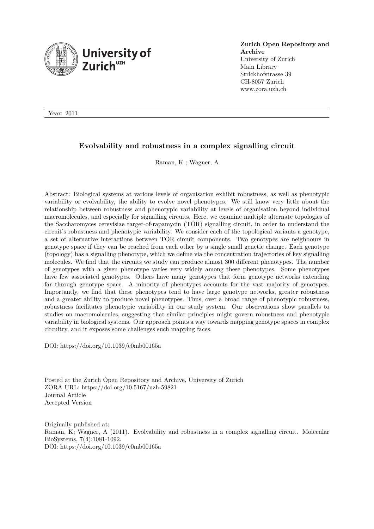

**Zurich Open Repository and Archive** University of Zurich Main Library Strickhofstrasse 39 CH-8057 Zurich www.zora.uzh.ch

Year: 2011

#### **Evolvability and robustness in a complex signalling circuit**

Raman, K ; Wagner, A

Abstract: Biological systems at various levels of organisation exhibit robustness, as well as phenotypic variability or evolvability, the ability to evolve novel phenotypes. We still know very little about the relationship between robustness and phenotypic variability at levels of organisation beyond individual macromolecules, and especially for signalling circuits. Here, we examine multiple alternate topologies of the Saccharomyces cerevisiae target-of-rapamycin (TOR) signalling circuit, in order to understand the circuit's robustness and phenotypic variability. We consider each of the topological variants a genotype, a set of alternative interactions between TOR circuit components. Two genotypes are neighbours in genotype space if they can be reached from each other by a single small genetic change. Each genotype (topology) has a signalling phenotype, which we define via the concentration trajectories of key signalling molecules. We find that the circuits we study can produce almost 300 different phenotypes. The number of genotypes with a given phenotype varies very widely among these phenotypes. Some phenotypes have few associated genotypes. Others have many genotypes that form genotype networks extending far through genotype space. A minority of phenotypes accounts for the vast majority of genotypes. Importantly, we find that these phenotypes tend to have large genotype networks, greater robustness and a greater ability to produce novel phenotypes. Thus, over a broad range of phenotypic robustness, robustness facilitates phenotypic variability in our study system. Our observations show parallels to studies on macromolecules, suggesting that similar principles might govern robustness and phenotypic variability in biological systems. Our approach points a way towards mapping genotype spaces in complex circuitry, and it exposes some challenges such mapping faces.

DOI: https://doi.org/10.1039/c0mb00165a

Posted at the Zurich Open Repository and Archive, University of Zurich ZORA URL: https://doi.org/10.5167/uzh-59821 Journal Article Accepted Version

Originally published at: Raman, K; Wagner, A (2011). Evolvability and robustness in a complex signalling circuit. Molecular BioSystems, 7(4):1081-1092. DOI: https://doi.org/10.1039/c0mb00165a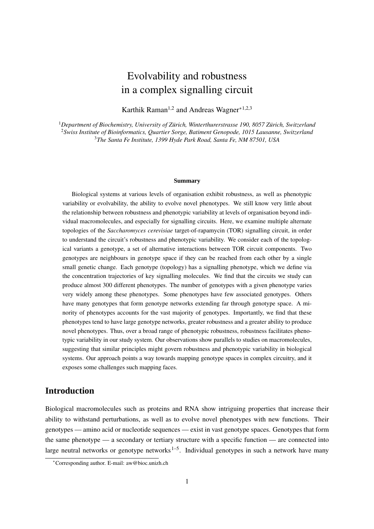## Evolvability and robustness in a complex signalling circuit

Karthik Raman<sup>1,2</sup> and Andreas Wagner<sup>∗1,2,3</sup>

<sup>1</sup>Department of Biochemistry, University of Zürich, Winterthurerstrasse 190, 8057 Zürich, Switzerland <sup>2</sup>*Swiss Institute of Bioinformatics, Quartier Sorge, Batiment Genopode, 1015 Lausanne, Switzerland* <sup>3</sup>*The Santa Fe Institute, 1399 Hyde Park Road, Santa Fe, NM 87501, USA*

#### **Summary**

Biological systems at various levels of organisation exhibit robustness, as well as phenotypic variability or evolvability, the ability to evolve novel phenotypes. We still know very little about the relationship between robustness and phenotypic variability at levels of organisation beyond individual macromolecules, and especially for signalling circuits. Here, we examine multiple alternate topologies of the *Saccharomyces cerevisiae* target-of-rapamycin (TOR) signalling circuit, in order to understand the circuit's robustness and phenotypic variability. We consider each of the topological variants a genotype, a set of alternative interactions between TOR circuit components. Two genotypes are neighbours in genotype space if they can be reached from each other by a single small genetic change. Each genotype (topology) has a signalling phenotype, which we define via the concentration trajectories of key signalling molecules. We find that the circuits we study can produce almost 300 different phenotypes. The number of genotypes with a given phenotype varies very widely among these phenotypes. Some phenotypes have few associated genotypes. Others have many genotypes that form genotype networks extending far through genotype space. A minority of phenotypes accounts for the vast majority of genotypes. Importantly, we find that these phenotypes tend to have large genotype networks, greater robustness and a greater ability to produce novel phenotypes. Thus, over a broad range of phenotypic robustness, robustness facilitates phenotypic variability in our study system. Our observations show parallels to studies on macromolecules, suggesting that similar principles might govern robustness and phenotypic variability in biological systems. Our approach points a way towards mapping genotype spaces in complex circuitry, and it exposes some challenges such mapping faces.

### **Introduction**

Biological macromolecules such as proteins and RNA show intriguing properties that increase their ability to withstand perturbations, as well as to evolve novel phenotypes with new functions. Their genotypes — amino acid or nucleotide sequences — exist in vast genotype spaces. Genotypes that form the same phenotype — a secondary or tertiary structure with a specific function — are connected into large neutral networks or genotype networks  $1-5$ . Individual genotypes in such a network have many

<sup>∗</sup>Corresponding author. E-mail: aw@bioc.unizh.ch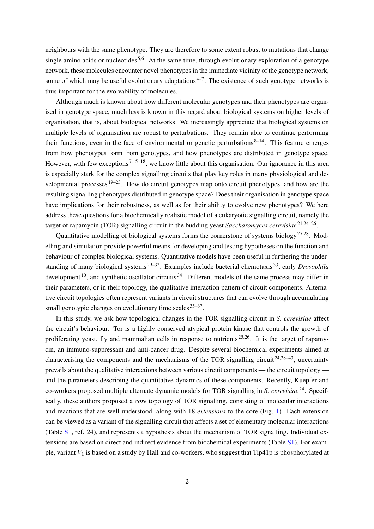neighbours with the same phenotype. They are therefore to some extent robust to mutations that change single amino acids or nucleotides<sup>5,6</sup>. At the same time, through evolutionary exploration of a genotype network, these molecules encounter novel phenotypes in the immediate vicinity of the genotype network, some of which may be useful evolutionary adaptations  $4-7$ . The existence of such genotype networks is thus important for the evolvability of molecules.

Although much is known about how different molecular genotypes and their phenotypes are organised in genotype space, much less is known in this regard about biological systems on higher levels of organisation, that is, about biological networks. We increasingly appreciate that biological systems on multiple levels of organisation are robust to perturbations. They remain able to continue performing their functions, even in the face of environmental or genetic perturbations  $8-14$ . This feature emerges from how phenotypes form from genotypes, and how phenotypes are distributed in genotype space. However, with few exceptions<sup>7,15–18</sup>, we know little about this organisation. Our ignorance in this area is especially stark for the complex signalling circuits that play key roles in many physiological and developmental processes  $19-23$ . How do circuit genotypes map onto circuit phenotypes, and how are the resulting signalling phenotypes distributed in genotype space? Does their organisation in genotype space have implications for their robustness, as well as for their ability to evolve new phenotypes? We here address these questions for a biochemically realistic model of a eukaryotic signalling circuit, namely the target of rapamycin (TOR) signalling circuit in the budding yeast *Saccharomyces cerevisiae* 21,24–26 .

Quantitative modelling of biological systems forms the cornerstone of systems biology<sup>27,28</sup>. Modelling and simulation provide powerful means for developing and testing hypotheses on the function and behaviour of complex biological systems. Quantitative models have been useful in furthering the understanding of many biological systems 29–32. Examples include bacterial chemotaxis <sup>33</sup>, early *Drosophila* development  $10$ , and synthetic oscillator circuits  $34$ . Different models of the same process may differ in their parameters, or in their topology, the qualitative interaction pattern of circuit components. Alternative circuit topologies often represent variants in circuit structures that can evolve through accumulating small genotypic changes on evolutionary time scales <sup>35–37</sup>.

In this study, we ask how topological changes in the TOR signalling circuit in *S. cerevisiae* affect the circuit's behaviour. Tor is a highly conserved atypical protein kinase that controls the growth of proliferating yeast, fly and mammalian cells in response to nutrients<sup>25,26</sup>. It is the target of rapamycin, an immuno-suppressant and anti-cancer drug. Despite several biochemical experiments aimed at characterising the components and the mechanisms of the TOR signalling circuit  $24,38-43$ , uncertainty prevails about the qualitative interactions between various circuit components — the circuit topology and the parameters describing the quantitative dynamics of these components. Recently, Kuepfer and co-workers proposed multiple alternate dynamic models for TOR signalling in *S. cerevisiae* <sup>24</sup>. Specifically, these authors proposed a *core* topology of TOR signalling, consisting of molecular interactions and reactions that are well-understood, along with 18 *extensions* to the core (Fig. 1). Each extension can be viewed as a variant of the signalling circuit that affects a set of elementary molecular interactions (Table S1, ref. 24), and represents a hypothesis about the mechanism of TOR signalling. Individual extensions are based on direct and indirect evidence from biochemical experiments (Table S1). For example, variant  $V_1$  is based on a study by Hall and co-workers, who suggest that Tip41p is phosphorylated at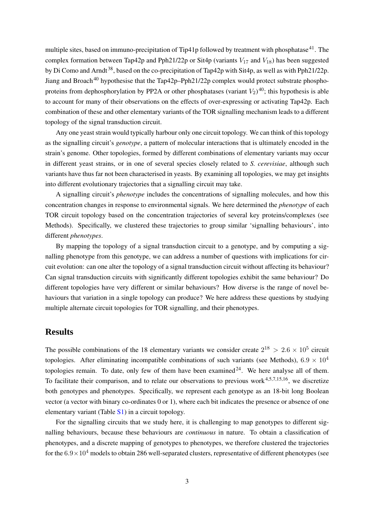multiple sites, based on immuno-precipitation of Tip41p followed by treatment with phosphatase<sup>41</sup>. The complex formation between Tap42p and Pph21/22p or Sit4p (variants  $V_{17}$  and  $V_{18}$ ) has been suggested by Di Como and Arndt<sup>38</sup>, based on the co-precipitation of Tap42p with Sit4p, as well as with Pph21/22p. Jiang and Broach<sup>40</sup> hypothesise that the Tap42p–Pph21/22p complex would protect substrate phosphoproteins from dephosphorylation by PP2A or other phosphatases (variant  $V_2$ )<sup>40</sup>; this hypothesis is able to account for many of their observations on the effects of over-expressing or activating Tap42p. Each combination of these and other elementary variants of the TOR signalling mechanism leads to a different topology of the signal transduction circuit.

Any one yeast strain would typically harbour only one circuit topology. We can think of this topology as the signalling circuit's *genotype*, a pattern of molecular interactions that is ultimately encoded in the strain's genome. Other topologies, formed by different combinations of elementary variants may occur in different yeast strains, or in one of several species closely related to *S. cerevisiae*, although such variants have thus far not been characterised in yeasts. By examining all topologies, we may get insights into different evolutionary trajectories that a signalling circuit may take.

A signalling circuit's *phenotype* includes the concentrations of signalling molecules, and how this concentration changes in response to environmental signals. We here determined the *phenotype* of each TOR circuit topology based on the concentration trajectories of several key proteins/complexes (see Methods). Specifically, we clustered these trajectories to group similar 'signalling behaviours', into different *phenotypes*.

By mapping the topology of a signal transduction circuit to a genotype, and by computing a signalling phenotype from this genotype, we can address a number of questions with implications for circuit evolution: can one alter the topology of a signal transduction circuit without affecting its behaviour? Can signal transduction circuits with significantly different topologies exhibit the same behaviour? Do different topologies have very different or similar behaviours? How diverse is the range of novel behaviours that variation in a single topology can produce? We here address these questions by studying multiple alternate circuit topologies for TOR signalling, and their phenotypes.

#### **Results**

The possible combinations of the 18 elementary variants we consider create  $2^{18} > 2.6 \times 10^5$  circuit topologies. After eliminating incompatible combinations of such variants (see Methods),  $6.9 \times 10^4$ topologies remain. To date, only few of them have been examined  $24$ . We here analyse all of them. To facilitate their comparison, and to relate our observations to previous work $4,5,7,15,16$ , we discretize both genotypes and phenotypes. Specifically, we represent each genotype as an 18-bit long Boolean vector (a vector with binary co-ordinates 0 or 1), where each bit indicates the presence or absence of one elementary variant (Table S1) in a circuit topology.

For the signalling circuits that we study here, it is challenging to map genotypes to different signalling behaviours, because these behaviours are *continuous* in nature. To obtain a classification of phenotypes, and a discrete mapping of genotypes to phenotypes, we therefore clustered the trajectories for the  $6.9 \times 10^4$  models to obtain 286 well-separated clusters, representative of different phenotypes (see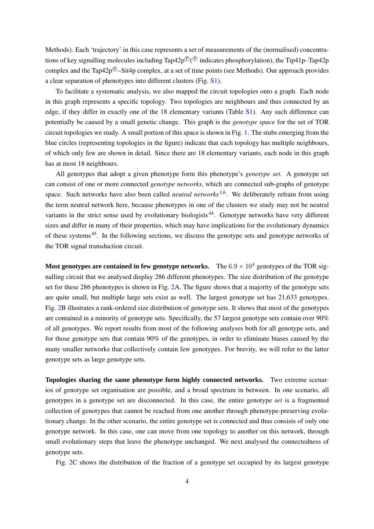Methods). Each 'trajectory' in this case represents a set of measurements of the (normalised) concentrations of key signalling molecules including Tap42p $\mathbb{P}(\mathbb{P})$  indicates phosphorylation), the Tip41p–Tap42p complex and the Tap42p $^{\circledR}$ –Sit4p complex, at a set of time points (see Methods). Our approach provides a clear separation of phenotypes into different clusters (Fig. S1).

To facilitate a systematic analysis, we also mapped the circuit topologies onto a graph. Each node in this graph represents a specific topology. Two topologies are neighbours and thus connected by an edge, if they differ in exactly one of the 18 elementary variants (Table S1). Any such difference can potentially be caused by a small genetic change. This graph is the *genotype space* for the set of TOR circuit topologies we study. A small portion of this space is shown in Fig. 1. The stubs emerging from the blue circles (representing topologies in the figure) indicate that each topology has multiple neighbours, of which only few are shown in detail. Since there are 18 elementary variants, each node in this graph has at most 18 neighbours.

All genotypes that adopt a given phenotype form this phenotype's *genotype set*. A genotype set can consist of one or more connected *genotype networks*, which are connected sub-graphs of genotype space. Such networks have also been called *neutral networks* <sup>1,6</sup>. We deliberately refrain from using the term neutral network here, because phenotypes in one of the clusters we study may not be neutral variants in the strict sense used by evolutionary biologists<sup>44</sup>. Genotype networks have very different sizes and differ in many of their properties, which may have implications for the evolutionary dynamics of these systems <sup>45</sup>. In the following sections, we discuss the genotype sets and genotype networks of the TOR signal transduction circuit.

**Most genotypes are contained in few genotype networks.** The  $6.9 \times 10^4$  genotypes of the TOR signalling circuit that we analysed display 286 different phenotypes. The size distribution of the genotype set for these 286 phenotypes is shown in Fig. 2A. The figure shows that a majority of the genotype sets are quite small, but multiple large sets exist as well. The largest genotype set has 21,633 genotypes. Fig. 2B illustrates a rank-ordered size distribution of genotype sets. It shows that most of the genotypes are contained in a minority of genotype sets. Specifically, the 57 largest genotype sets contain over 90% of all genotypes. We report results from most of the following analyses both for all genotype sets, and for those genotype sets that contain 90% of the genotypes, in order to eliminate biases caused by the many smaller networks that collectively contain few genotypes. For brevity, we will refer to the latter genotype sets as large genotype sets.

**Topologies sharing the same phenotype form highly connected networks.** Two extreme scenarios of genotype set organisation are possible, and a broad spectrum in between. In one scenario, all genotypes in a genotype set are disconnected. In this case, the entire genotype *set* is a fragmented collection of genotypes that cannot be reached from one another through phenotype-preserving evolutionary change. In the other scenario, the entire genotype set is connected and thus consists of only one genotype network. In this case, one can move from one topology to another on this network, through small evolutionary steps that leave the phenotype unchanged. We next analysed the connectedness of genotype sets.

Fig. 2C shows the distribution of the fraction of a genotype set occupied by its largest genotype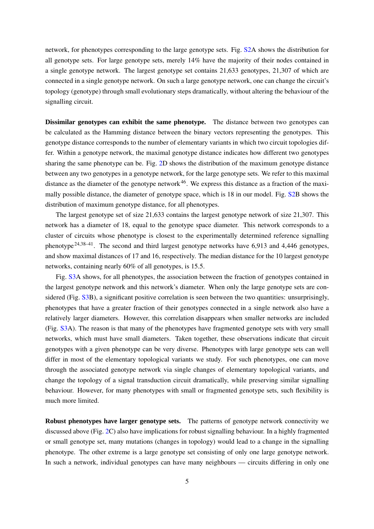network, for phenotypes corresponding to the large genotype sets. Fig. S2A shows the distribution for all genotype sets. For large genotype sets, merely 14% have the majority of their nodes contained in a single genotype network. The largest genotype set contains 21,633 genotypes, 21,307 of which are connected in a single genotype network. On such a large genotype network, one can change the circuit's topology (genotype) through small evolutionary steps dramatically, without altering the behaviour of the signalling circuit.

**Dissimilar genotypes can exhibit the same phenotype.** The distance between two genotypes can be calculated as the Hamming distance between the binary vectors representing the genotypes. This genotype distance corresponds to the number of elementary variants in which two circuit topologies differ. Within a genotype network, the maximal genotype distance indicates how different two genotypes sharing the same phenotype can be. Fig. 2D shows the distribution of the maximum genotype distance between any two genotypes in a genotype network, for the large genotype sets. We refer to this maximal distance as the diameter of the genotype network<sup>46</sup>. We express this distance as a fraction of the maximally possible distance, the diameter of genotype space, which is 18 in our model. Fig. S2B shows the distribution of maximum genotype distance, for all phenotypes.

The largest genotype set of size 21,633 contains the largest genotype network of size 21,307. This network has a diameter of 18, equal to the genotype space diameter. This network corresponds to a cluster of circuits whose phenotype is closest to the experimentally determined reference signalling phenotype 24,38–41. The second and third largest genotype networks have 6,913 and 4,446 genotypes, and show maximal distances of 17 and 16, respectively. The median distance for the 10 largest genotype networks, containing nearly 60% of all genotypes, is 15.5.

Fig. S3A shows, for all phenotypes, the association between the fraction of genotypes contained in the largest genotype network and this network's diameter. When only the large genotype sets are considered (Fig. S3B), a significant positive correlation is seen between the two quantities: unsurprisingly, phenotypes that have a greater fraction of their genotypes connected in a single network also have a relatively larger diameters. However, this correlation disappears when smaller networks are included (Fig. S3A). The reason is that many of the phenotypes have fragmented genotype sets with very small networks, which must have small diameters. Taken together, these observations indicate that circuit genotypes with a given phenotype can be very diverse. Phenotypes with large genotype sets can well differ in most of the elementary topological variants we study. For such phenotypes, one can move through the associated genotype network via single changes of elementary topological variants, and change the topology of a signal transduction circuit dramatically, while preserving similar signalling behaviour. However, for many phenotypes with small or fragmented genotype sets, such flexibility is much more limited.

**Robust phenotypes have larger genotype sets.** The patterns of genotype network connectivity we discussed above (Fig. 2C) also have implications for robust signalling behaviour. In a highly fragmented or small genotype set, many mutations (changes in topology) would lead to a change in the signalling phenotype. The other extreme is a large genotype set consisting of only one large genotype network. In such a network, individual genotypes can have many neighbours — circuits differing in only one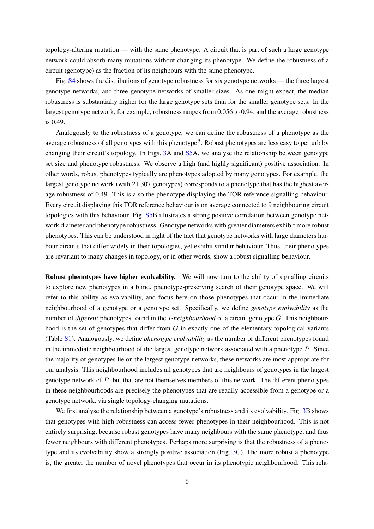topology-altering mutation — with the same phenotype. A circuit that is part of such a large genotype network could absorb many mutations without changing its phenotype. We define the robustness of a circuit (genotype) as the fraction of its neighbours with the same phenotype.

Fig. S4 shows the distributions of genotype robustness for six genotype networks — the three largest genotype networks, and three genotype networks of smaller sizes. As one might expect, the median robustness is substantially higher for the large genotype sets than for the smaller genotype sets. In the largest genotype network, for example, robustness ranges from 0.056 to 0.94, and the average robustness is 0.49.

Analogously to the robustness of a genotype, we can define the robustness of a phenotype as the average robustness of all genotypes with this phenotype<sup>5</sup>. Robust phenotypes are less easy to perturb by changing their circuit's topology. In Figs. 3A and S5A, we analyse the relationship between genotype set size and phenotype robustness. We observe a high (and highly significant) positive association. In other words, robust phenotypes typically are phenotypes adopted by many genotypes. For example, the largest genotype network (with 21,307 genotypes) corresponds to a phenotype that has the highest average robustness of 0.49. This is also the phenotype displaying the TOR reference signalling behaviour. Every circuit displaying this TOR reference behaviour is on average connected to 9 neighbouring circuit topologies with this behaviour. Fig. S5B illustrates a strong positive correlation between genotype network diameter and phenotype robustness. Genotype networks with greater diameters exhibit more robust phenotypes. This can be understood in light of the fact that genotype networks with large diameters harbour circuits that differ widely in their topologies, yet exhibit similar behaviour. Thus, their phenotypes are invariant to many changes in topology, or in other words, show a robust signalling behaviour.

**Robust phenotypes have higher evolvability.** We will now turn to the ability of signalling circuits to explore new phenotypes in a blind, phenotype-preserving search of their genotype space. We will refer to this ability as evolvability, and focus here on those phenotypes that occur in the immediate neighbourhood of a genotype or a genotype set. Specifically, we define *genotype evolvability* as the number of *different* phenotypes found in the *1-neighbourhood* of a circuit genotype G. This neighbourhood is the set of genotypes that differ from G in exactly one of the elementary topological variants (Table S1). Analogously, we define *phenotype evolvability* as the number of different phenotypes found in the immediate neighbourhood of the largest genotype network associated with a phenotype  $P$ . Since the majority of genotypes lie on the largest genotype networks, these networks are most appropriate for our analysis. This neighbourhood includes all genotypes that are neighbours of genotypes in the largest genotype network of  $P$ , but that are not themselves members of this network. The different phenotypes in these neighbourhoods are precisely the phenotypes that are readily accessible from a genotype or a genotype network, via single topology-changing mutations.

We first analyse the relationship between a genotype's robustness and its evolvability. Fig. 3B shows that genotypes with high robustness can access fewer phenotypes in their neighbourhood. This is not entirely surprising, because robust genotypes have many neighbours with the same phenotype, and thus fewer neighbours with different phenotypes. Perhaps more surprising is that the robustness of a phenotype and its evolvability show a strongly positive association (Fig. 3C). The more robust a phenotype is, the greater the number of novel phenotypes that occur in its phenotypic neighbourhood. This rela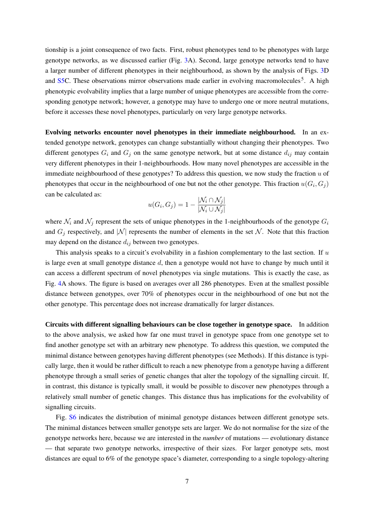tionship is a joint consequence of two facts. First, robust phenotypes tend to be phenotypes with large genotype networks, as we discussed earlier (Fig. 3A). Second, large genotype networks tend to have a larger number of different phenotypes in their neighbourhood, as shown by the analysis of Figs. 3D and S5C. These observations mirror observations made earlier in evolving macromolecules<sup>5</sup>. A high phenotypic evolvability implies that a large number of unique phenotypes are accessible from the corresponding genotype network; however, a genotype may have to undergo one or more neutral mutations, before it accesses these novel phenotypes, particularly on very large genotype networks.

**Evolving networks encounter novel phenotypes in their immediate neighbourhood.** In an extended genotype network, genotypes can change substantially without changing their phenotypes. Two different genotypes  $G_i$  and  $G_j$  on the same genotype network, but at some distance  $d_{ij}$  may contain very different phenotypes in their 1-neighbourhoods. How many novel phenotypes are accessible in the immediate neighbourhood of these genotypes? To address this question, we now study the fraction  $u$  of phenotypes that occur in the neighbourhood of one but not the other genotype. This fraction  $u(G_i, G_j)$ can be calculated as:

$$
u(G_i, G_j) = 1 - \frac{|\mathcal{N}_i \cap \mathcal{N}_j|}{|\mathcal{N}_i \cup \mathcal{N}_j|}
$$

where  $\mathcal{N}_i$  and  $\mathcal{N}_j$  represent the sets of unique phenotypes in the 1-neighbourhoods of the genotype  $G_i$ and  $G_i$  respectively, and  $|N|$  represents the number of elements in the set N. Note that this fraction may depend on the distance  $d_{ij}$  between two genotypes.

This analysis speaks to a circuit's evolvability in a fashion complementary to the last section. If  $u$ is large even at small genotype distance  $d$ , then a genotype would not have to change by much until it can access a different spectrum of novel phenotypes via single mutations. This is exactly the case, as Fig. 4A shows. The figure is based on averages over all 286 phenotypes. Even at the smallest possible distance between genotypes, over 70% of phenotypes occur in the neighbourhood of one but not the other genotype. This percentage does not increase dramatically for larger distances.

**Circuits with different signalling behaviours can be close together in genotype space.** In addition to the above analysis, we asked how far one must travel in genotype space from one genotype set to find another genotype set with an arbitrary new phenotype. To address this question, we computed the minimal distance between genotypes having different phenotypes (see Methods). If this distance is typically large, then it would be rather difficult to reach a new phenotype from a genotype having a different phenotype through a small series of genetic changes that alter the topology of the signalling circuit. If, in contrast, this distance is typically small, it would be possible to discover new phenotypes through a relatively small number of genetic changes. This distance thus has implications for the evolvability of signalling circuits.

Fig. S6 indicates the distribution of minimal genotype distances between different genotype sets. The minimal distances between smaller genotype sets are larger. We do not normalise for the size of the genotype networks here, because we are interested in the *number* of mutations — evolutionary distance — that separate two genotype networks, irrespective of their sizes. For larger genotype sets, most distances are equal to 6% of the genotype space's diameter, corresponding to a single topology-altering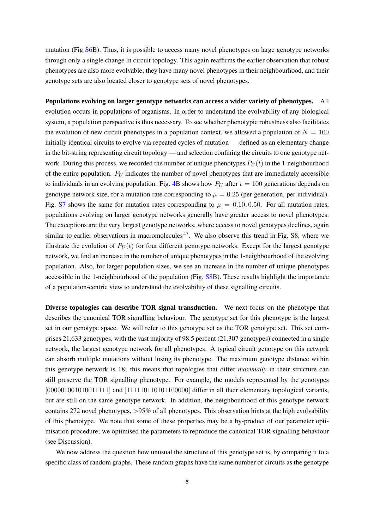mutation (Fig S6B). Thus, it is possible to access many novel phenotypes on large genotype networks through only a single change in circuit topology. This again reaffirms the earlier observation that robust phenotypes are also more evolvable; they have many novel phenotypes in their neighbourhood, and their genotype sets are also located closer to genotype sets of novel phenotypes.

**Populations evolving on larger genotype networks can access a wider variety of phenotypes.** All evolution occurs in populations of organisms. In order to understand the evolvability of any biological system, a population perspective is thus necessary. To see whether phenotypic robustness also facilitates the evolution of new circuit phenotypes in a population context, we allowed a population of  $N = 100$ initially identical circuits to evolve via repeated cycles of mutation — defined as an elementary change in the bit-string representing circuit topology — and selection confining the circuits to one genotype network. During this process, we recorded the number of unique phenotypes  $P_U(t)$  in the 1-neighbourhood of the entire population.  $P_U$  indicates the number of novel phenotypes that are immediately accessible to individuals in an evolving population. Fig. 4B shows how  $P_U$  after  $t = 100$  generations depends on genotype network size, for a mutation rate corresponding to  $\mu = 0.25$  (per generation, per individual). Fig. S7 shows the same for mutation rates corresponding to  $\mu = 0.10, 0.50$ . For all mutation rates, populations evolving on larger genotype networks generally have greater access to novel phenotypes. The exceptions are the very largest genotype networks, where access to novel genotypes declines, again similar to earlier observations in macromolecules<sup>47</sup>. We also observe this trend in Fig.  $S_8$ , where we illustrate the evolution of  $P_U(t)$  for four different genotype networks. Except for the largest genotype network, we find an increase in the number of unique phenotypes in the 1-neighbourhood of the evolving population. Also, for larger population sizes, we see an increase in the number of unique phenotypes accessible in the 1-neighbourhood of the population (Fig. S8B). These results highlight the importance of a population-centric view to understand the evolvability of these signalling circuits.

**Diverse topologies can describe TOR signal transduction.** We next focus on the phenotype that describes the canonical TOR signalling behaviour. The genotype set for this phenotype is the largest set in our genotype space. We will refer to this genotype set as the TOR genotype set. This set comprises 21,633 genotypes, with the vast majority of 98.5 percent (21,307 genotypes) connected in a single network, the largest genotype network for all phenotypes. A typical circuit genotype on this network can absorb multiple mutations without losing its phenotype. The maximum genotype distance within this genotype network is 18; this means that topologies that differ *maximally* in their structure can still preserve the TOR signalling phenotype. For example, the models represented by the genotypes [000001001010011111] and [111110110101100000] differ in all their elementary topological variants, but are still on the same genotype network. In addition, the neighbourhood of this genotype network contains 272 novel phenotypes, >95% of all phenotypes. This observation hints at the high evolvability of this phenotype. We note that some of these properties may be a by-product of our parameter optimisation procedure; we optimised the parameters to reproduce the canonical TOR signalling behaviour (see Discussion).

We now address the question how unusual the structure of this genotype set is, by comparing it to a specific class of random graphs. These random graphs have the same number of circuits as the genotype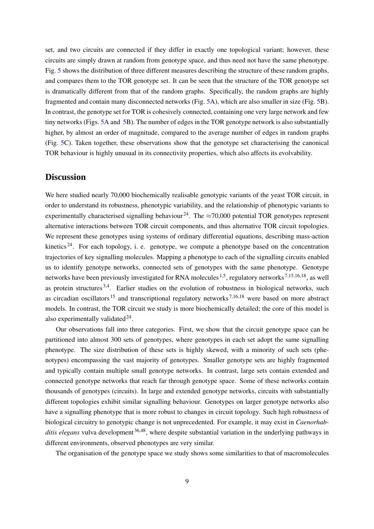set, and two circuits are connected if they differ in exactly one topological variant; however, these circuits are simply drawn at random from genotype space, and thus need not have the same phenotype. Fig. 5 shows the distribution of three different measures describing the structure of these random graphs, and compares them to the TOR genotype set. It can be seen that the structure of the TOR genotype set is dramatically different from that of the random graphs. Specifically, the random graphs are highly fragmented and contain many disconnected networks (Fig. 5A), which are also smaller in size (Fig. 5B). In contrast, the genotype set for TOR is cohesively connected, containing one very large network and few tiny networks (Figs. 5A and 5B). The number of edges in the TOR genotype network is also substantially higher, by almost an order of magnitude, compared to the average number of edges in random graphs (Fig. 5C). Taken together, these observations show that the genotype set characterising the canonical TOR behaviour is highly unusual in its connectivity properties, which also affects its evolvability.

#### **Discussion**

We here studied nearly 70,000 biochemically realisable genotypic variants of the yeast TOR circuit, in order to understand its robustness, phenotypic variability, and the relationship of phenotypic variants to experimentally characterised signalling behaviour<sup>24</sup>. The  $\approx$ 70,000 potential TOR genotypes represent alternative interactions between TOR circuit components, and thus alternative TOR circuit topologies. We represent these genotypes using systems of ordinary differential equations, describing mass-action kinetics<sup>24</sup>. For each topology, i. e. genotype, we compute a phenotype based on the concentration trajectories of key signalling molecules. Mapping a phenotype to each of the signalling circuits enabled us to identify genotype networks, connected sets of genotypes with the same phenotype. Genotype networks have been previously investigated for RNA molecules  $1.5$ , regulatory networks  $7,15,16,18$ , as well as protein structures  $3,4$ . Earlier studies on the evolution of robustness in biological networks, such as circadian oscillators<sup>15</sup> and transcriptional regulatory networks<sup>7,16,18</sup> were based on more abstract models. In contrast, the TOR circuit we study is more biochemically detailed; the core of this model is also experimentally validated $^{24}$ .

Our observations fall into three categories. First, we show that the circuit genotype space can be partitioned into almost 300 sets of genotypes, where genotypes in each set adopt the same signalling phenotype. The size distribution of these sets is highly skewed, with a minority of such sets (phenotypes) encompassing the vast majority of genotypes. Smaller genotype sets are highly fragmented and typically contain multiple small genotype networks. In contrast, large sets contain extended and connected genotype networks that reach far through genotype space. Some of these networks contain thousands of genotypes (circuits). In large and extended genotype networks, circuits with substantially different topologies exhibit similar signalling behaviour. Genotypes on larger genotype networks also have a signalling phenotype that is more robust to changes in circuit topology. Such high robustness of biological circuitry to genotypic change is not unprecedented. For example, it may exist in *Caenorhabditis elegans* vulva development<sup>36,48</sup>, where despite substantial variation in the underlying pathways in different environments, observed phenotypes are very similar.

The organisation of the genotype space we study shows some similarities to that of macromolecules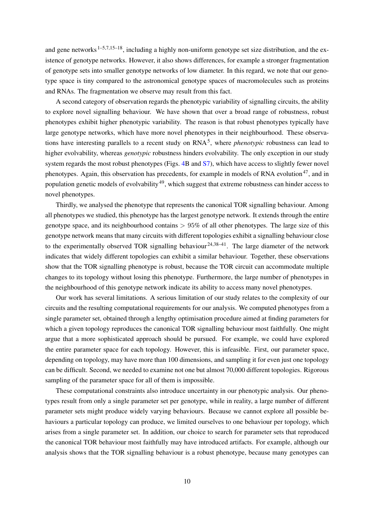and gene networks  $1-5,7,15-18$ , including a highly non-uniform genotype set size distribution, and the existence of genotype networks. However, it also shows differences, for example a stronger fragmentation of genotype sets into smaller genotype networks of low diameter. In this regard, we note that our genotype space is tiny compared to the astronomical genotype spaces of macromolecules such as proteins and RNAs. The fragmentation we observe may result from this fact.

A second category of observation regards the phenotypic variability of signalling circuits, the ability to explore novel signalling behaviour. We have shown that over a broad range of robustness, robust phenotypes exhibit higher phenotypic variability. The reason is that robust phenotypes typically have large genotype networks, which have more novel phenotypes in their neighbourhood. These observations have interesting parallels to a recent study on RNA<sup>5</sup> , where *phenotypic* robustness can lead to higher evolvability, whereas *genotypic* robustness hinders evolvability. The only exception in our study system regards the most robust phenotypes (Figs. 4B and S7), which have access to slightly fewer novel phenotypes. Again, this observation has precedents, for example in models of RNA evolution<sup>47</sup>, and in population genetic models of evolvability<sup>49</sup>, which suggest that extreme robustness can hinder access to novel phenotypes.

Thirdly, we analysed the phenotype that represents the canonical TOR signalling behaviour. Among all phenotypes we studied, this phenotype has the largest genotype network. It extends through the entire genotype space, and its neighbourhood contains  $> 95\%$  of all other phenotypes. The large size of this genotype network means that many circuits with different topologies exhibit a signalling behaviour close to the experimentally observed TOR signalling behaviour  $24,38-41$ . The large diameter of the network indicates that widely different topologies can exhibit a similar behaviour. Together, these observations show that the TOR signalling phenotype is robust, because the TOR circuit can accommodate multiple changes to its topology without losing this phenotype. Furthermore, the large number of phenotypes in the neighbourhood of this genotype network indicate its ability to access many novel phenotypes.

Our work has several limitations. A serious limitation of our study relates to the complexity of our circuits and the resulting computational requirements for our analysis. We computed phenotypes from a single parameter set, obtained through a lengthy optimisation procedure aimed at finding parameters for which a given topology reproduces the canonical TOR signalling behaviour most faithfully. One might argue that a more sophisticated approach should be pursued. For example, we could have explored the entire parameter space for each topology. However, this is infeasible. First, our parameter space, depending on topology, may have more than 100 dimensions, and sampling it for even just one topology can be difficult. Second, we needed to examine not one but almost 70,000 different topologies. Rigorous sampling of the parameter space for all of them is impossible.

These computational constraints also introduce uncertainty in our phenotypic analysis. Our phenotypes result from only a single parameter set per genotype, while in reality, a large number of different parameter sets might produce widely varying behaviours. Because we cannot explore all possible behaviours a particular topology can produce, we limited ourselves to one behaviour per topology, which arises from a single parameter set. In addition, our choice to search for parameter sets that reproduced the canonical TOR behaviour most faithfully may have introduced artifacts. For example, although our analysis shows that the TOR signalling behaviour is a robust phenotype, because many genotypes can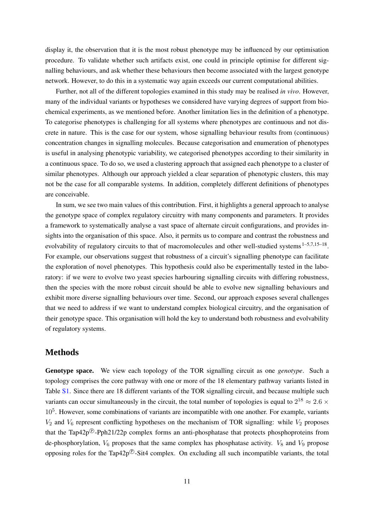display it, the observation that it is the most robust phenotype may be influenced by our optimisation procedure. To validate whether such artifacts exist, one could in principle optimise for different signalling behaviours, and ask whether these behaviours then become associated with the largest genotype network. However, to do this in a systematic way again exceeds our current computational abilities.

Further, not all of the different topologies examined in this study may be realised *in vivo*. However, many of the individual variants or hypotheses we considered have varying degrees of support from biochemical experiments, as we mentioned before. Another limitation lies in the definition of a phenotype. To categorise phenotypes is challenging for all systems where phenotypes are continuous and not discrete in nature. This is the case for our system, whose signalling behaviour results from (continuous) concentration changes in signalling molecules. Because categorisation and enumeration of phenotypes is useful in analysing phenotypic variability, we categorised phenotypes according to their similarity in a continuous space. To do so, we used a clustering approach that assigned each phenotype to a cluster of similar phenotypes. Although our approach yielded a clear separation of phenotypic clusters, this may not be the case for all comparable systems. In addition, completely different definitions of phenotypes are conceivable.

In sum, we see two main values of this contribution. First, it highlights a general approach to analyse the genotype space of complex regulatory circuitry with many components and parameters. It provides a framework to systematically analyse a vast space of alternate circuit configurations, and provides insights into the organisation of this space. Also, it permits us to compare and contrast the robustness and evolvability of regulatory circuits to that of macromolecules and other well-studied systems<sup>1-5,7,15-18</sup>. For example, our observations suggest that robustness of a circuit's signalling phenotype can facilitate the exploration of novel phenotypes. This hypothesis could also be experimentally tested in the laboratory: if we were to evolve two yeast species harbouring signalling circuits with differing robustness, then the species with the more robust circuit should be able to evolve new signalling behaviours and exhibit more diverse signalling behaviours over time. Second, our approach exposes several challenges that we need to address if we want to understand complex biological circuitry, and the organisation of their genotype space. This organisation will hold the key to understand both robustness and evolvability of regulatory systems.

#### **Methods**

**Genotype space.** We view each topology of the TOR signalling circuit as one *genotype*. Such a topology comprises the core pathway with one or more of the 18 elementary pathway variants listed in Table S1. Since there are 18 different variants of the TOR signalling circuit, and because multiple such variants can occur simultaneously in the circuit, the total number of topologies is equal to  $2^{18} \approx 2.6 \times$ 10<sup>5</sup>. However, some combinations of variants are incompatible with one another. For example, variants  $V_2$  and  $V_6$  represent conflicting hypotheses on the mechanism of TOR signalling: while  $V_2$  proposes that the Tap42p<sup>®</sup>-Pph21/22p complex forms an anti-phosphatase that protects phosphoproteins from de-phosphorylation,  $V_6$  proposes that the same complex has phosphatase activity.  $V_8$  and  $V_9$  propose opposing roles for the Tap42p $^{\circledR}$ -Sit4 complex. On excluding all such incompatible variants, the total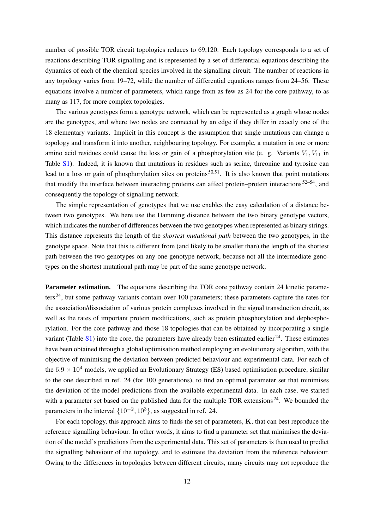number of possible TOR circuit topologies reduces to 69,120. Each topology corresponds to a set of reactions describing TOR signalling and is represented by a set of differential equations describing the dynamics of each of the chemical species involved in the signalling circuit. The number of reactions in any topology varies from 19–72, while the number of differential equations ranges from 24–56. These equations involve a number of parameters, which range from as few as 24 for the core pathway, to as many as 117, for more complex topologies.

The various genotypes form a genotype network, which can be represented as a graph whose nodes are the genotypes, and where two nodes are connected by an edge if they differ in exactly one of the 18 elementary variants. Implicit in this concept is the assumption that single mutations can change a topology and transform it into another, neighbouring topology. For example, a mutation in one or more amino acid residues could cause the loss or gain of a phosphorylation site (e. g. Variants  $V_1, V_{11}$  in Table S1). Indeed, it is known that mutations in residues such as serine, threonine and tyrosine can lead to a loss or gain of phosphorylation sites on proteins  $50,51$ . It is also known that point mutations that modify the interface between interacting proteins can affect protein–protein interactions  $52-54$ , and consequently the topology of signalling network.

The simple representation of genotypes that we use enables the easy calculation of a distance between two genotypes. We here use the Hamming distance between the two binary genotype vectors, which indicates the number of differences between the two genotypes when represented as binary strings. This distance represents the length of the *shortest mutational path* between the two genotypes, in the genotype space. Note that this is different from (and likely to be smaller than) the length of the shortest path between the two genotypes on any one genotype network, because not all the intermediate genotypes on the shortest mutational path may be part of the same genotype network.

**Parameter estimation.** The equations describing the TOR core pathway contain 24 kinetic parameters<sup>24</sup>, but some pathway variants contain over 100 parameters; these parameters capture the rates for the association/dissociation of various protein complexes involved in the signal transduction circuit, as well as the rates of important protein modifications, such as protein phosphorylation and dephosphorylation. For the core pathway and those 18 topologies that can be obtained by incorporating a single variant (Table  $S1$ ) into the core, the parameters have already been estimated earlier  $24$ . These estimates have been obtained through a global optimisation method employing an evolutionary algorithm, with the objective of minimising the deviation between predicted behaviour and experimental data. For each of the  $6.9 \times 10^4$  models, we applied an Evolutionary Strategy (ES) based optimisation procedure, similar to the one described in ref. 24 (for 100 generations), to find an optimal parameter set that minimises the deviation of the model predictions from the available experimental data. In each case, we started with a parameter set based on the published data for the multiple TOR extensions  $24$ . We bounded the parameters in the interval  $\{10^{-2}, 10^3\}$ , as suggested in ref. 24.

For each topology, this approach aims to finds the set of parameters,  $K$ , that can best reproduce the reference signalling behaviour. In other words, it aims to find a parameter set that minimises the deviation of the model's predictions from the experimental data. This set of parameters is then used to predict the signalling behaviour of the topology, and to estimate the deviation from the reference behaviour. Owing to the differences in topologies between different circuits, many circuits may not reproduce the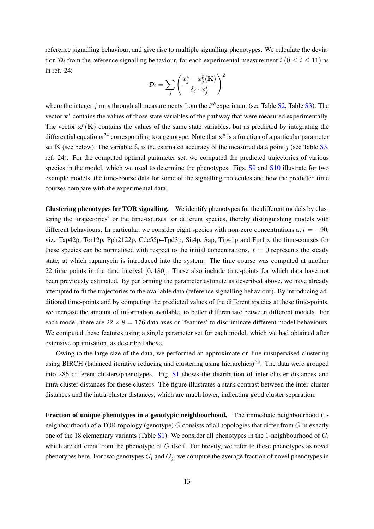reference signalling behaviour, and give rise to multiple signalling phenotypes. We calculate the deviation  $\mathcal{D}_i$  from the reference signalling behaviour, for each experimental measurement i ( $0 \le i \le 11$ ) as in ref. 24:

$$
\mathcal{D}_i = \sum_j \left( \frac{x_j^* - x_j^p(\mathbf{K})}{\delta_j \cdot x_j^*} \right)^2
$$

where the integer j runs through all measurements from the  $i^{th}$  experiment (see Table S2, Table S3). The vector x<sup>\*</sup> contains the values of those state variables of the pathway that were measured experimentally. The vector  $x^p(K)$  contains the values of the same state variables, but as predicted by integrating the differential equations<sup>24</sup> corresponding to a genotype. Note that  $x^p$  is a function of a particular parameter set K (see below). The variable  $\delta_i$  is the estimated accuracy of the measured data point j (see Table S3, ref. 24). For the computed optimal parameter set, we computed the predicted trajectories of various species in the model, which we used to determine the phenotypes. Figs. S9 and S10 illustrate for two example models, the time-course data for some of the signalling molecules and how the predicted time courses compare with the experimental data.

**Clustering phenotypes for TOR signalling.** We identify phenotypes for the different models by clustering the 'trajectories' or the time-courses for different species, thereby distinguishing models with different behaviours. In particular, we consider eight species with non-zero concentrations at  $t = -90$ , viz. Tap42p, Tor12p, Pph2122p, Cdc55p–Tpd3p, Sit4p, Sap, Tip41p and Fpr1p; the time-courses for these species can be normalised with respect to the initial concentrations.  $t = 0$  represents the steady state, at which rapamycin is introduced into the system. The time course was computed at another 22 time points in the time interval [0, 180]. These also include time-points for which data have not been previously estimated. By performing the parameter estimate as described above, we have already attempted to fit the trajectories to the available data (reference signalling behaviour). By introducing additional time-points and by computing the predicted values of the different species at these time-points, we increase the amount of information available, to better differentiate between different models. For each model, there are  $22 \times 8 = 176$  data axes or 'features' to discriminate different model behaviours. We computed these features using a single parameter set for each model, which we had obtained after extensive optimisation, as described above.

Owing to the large size of the data, we performed an approximate on-line unsupervised clustering using BIRCH (balanced iterative reducing and clustering using hierarchies)<sup>55</sup>. The data were grouped into 286 different clusters/phenotypes. Fig. S1 shows the distribution of inter-cluster distances and intra-cluster distances for these clusters. The figure illustrates a stark contrast between the inter-cluster distances and the intra-cluster distances, which are much lower, indicating good cluster separation.

**Fraction of unique phenotypes in a genotypic neighbourhood.** The immediate neighbourhood (1 neighbourhood) of a TOR topology (genotype)  $G$  consists of all topologies that differ from  $G$  in exactly one of the 18 elementary variants (Table S1). We consider all phenotypes in the 1-neighbourhood of G, which are different from the phenotype of  $G$  itself. For brevity, we refer to these phenotypes as novel phenotypes here. For two genotypes  $G_i$  and  $G_j$ , we compute the average fraction of novel phenotypes in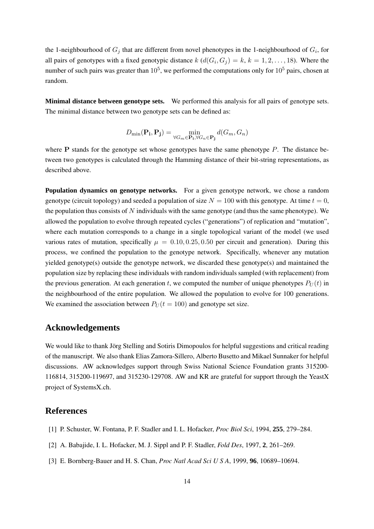the 1-neighbourhood of  $G_j$  that are different from novel phenotypes in the 1-neighbourhood of  $G_i$ , for all pairs of genotypes with a fixed genotypic distance  $k$  ( $d(G_i, G_j) = k, k = 1, 2, ..., 18$ ). Where the number of such pairs was greater than  $10^5$ , we performed the computations only for  $10^5$  pairs, chosen at random.

**Minimal distance between genotype sets.** We performed this analysis for all pairs of genotype sets. The minimal distance between two genotype sets can be defined as:

$$
D_{\min}(\mathbf{P_i},\mathbf{P_j}) = \min_{\forall G_m \in \mathbf{P_i}, \forall G_n \in \mathbf{P_j}} d(G_m, G_n)
$$

where  $P$  stands for the genotype set whose genotypes have the same phenotype  $P$ . The distance between two genotypes is calculated through the Hamming distance of their bit-string representations, as described above.

**Population dynamics on genotype networks.** For a given genotype network, we chose a random genotype (circuit topology) and seeded a population of size  $N = 100$  with this genotype. At time  $t = 0$ , the population thus consists of N individuals with the same genotype (and thus the same phenotype). We allowed the population to evolve through repeated cycles ("generations") of replication and "mutation", where each mutation corresponds to a change in a single topological variant of the model (we used various rates of mutation, specifically  $\mu = 0.10, 0.25, 0.50$  per circuit and generation). During this process, we confined the population to the genotype network. Specifically, whenever any mutation yielded genotype(s) outside the genotype network, we discarded these genotype(s) and maintained the population size by replacing these individuals with random individuals sampled (with replacement) from the previous generation. At each generation t, we computed the number of unique phenotypes  $P_U(t)$  in the neighbourhood of the entire population. We allowed the population to evolve for 100 generations. We examined the association between  $P_U(t = 100)$  and genotype set size.

#### **Acknowledgements**

We would like to thank Jörg Stelling and Sotiris Dimopoulos for helpful suggestions and critical reading of the manuscript. We also thank Elias Zamora-Sillero, Alberto Busetto and Mikael Sunnaker for helpful discussions. AW acknowledges support through Swiss National Science Foundation grants 315200- 116814, 315200-119697, and 315230-129708. AW and KR are grateful for support through the YeastX project of SystemsX.ch.

#### **References**

- [1] P. Schuster, W. Fontana, P. F. Stadler and I. L. Hofacker, *Proc Biol Sci*, 1994, **255**, 279–284.
- [2] A. Babajide, I. L. Hofacker, M. J. Sippl and P. F. Stadler, *Fold Des*, 1997, **2**, 261–269.
- [3] E. Bornberg-Bauer and H. S. Chan, *Proc Natl Acad Sci U S A*, 1999, **96**, 10689–10694.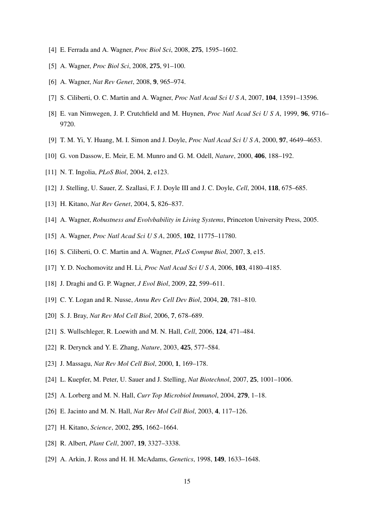- [4] E. Ferrada and A. Wagner, *Proc Biol Sci*, 2008, **275**, 1595–1602.
- [5] A. Wagner, *Proc Biol Sci*, 2008, **275**, 91–100.
- [6] A. Wagner, *Nat Rev Genet*, 2008, **9**, 965–974.
- [7] S. Ciliberti, O. C. Martin and A. Wagner, *Proc Natl Acad Sci U S A*, 2007, **104**, 13591–13596.
- [8] E. van Nimwegen, J. P. Crutchfield and M. Huynen, *Proc Natl Acad Sci U S A*, 1999, **96**, 9716– 9720.
- [9] T. M. Yi, Y. Huang, M. I. Simon and J. Doyle, *Proc Natl Acad Sci U S A*, 2000, **97**, 4649–4653.
- [10] G. von Dassow, E. Meir, E. M. Munro and G. M. Odell, *Nature*, 2000, **406**, 188–192.
- [11] N. T. Ingolia, *PLoS Biol*, 2004, **2**, e123.
- [12] J. Stelling, U. Sauer, Z. Szallasi, F. J. Doyle III and J. C. Doyle, *Cell*, 2004, **118**, 675–685.
- [13] H. Kitano, *Nat Rev Genet*, 2004, **5**, 826–837.
- [14] A. Wagner, *Robustness and Evolvbability in Living Systems*, Princeton University Press, 2005.
- [15] A. Wagner, *Proc Natl Acad Sci U S A*, 2005, **102**, 11775–11780.
- [16] S. Ciliberti, O. C. Martin and A. Wagner, *PLoS Comput Biol*, 2007, **3**, e15.
- [17] Y. D. Nochomovitz and H. Li, *Proc Natl Acad Sci U S A*, 2006, **103**, 4180–4185.
- [18] J. Draghi and G. P. Wagner, *J Evol Biol*, 2009, **22**, 599–611.
- [19] C. Y. Logan and R. Nusse, *Annu Rev Cell Dev Biol*, 2004, **20**, 781–810.
- [20] S. J. Bray, *Nat Rev Mol Cell Biol*, 2006, **7**, 678–689.
- [21] S. Wullschleger, R. Loewith and M. N. Hall, *Cell*, 2006, **124**, 471–484.
- [22] R. Derynck and Y. E. Zhang, *Nature*, 2003, **425**, 577–584.
- [23] J. Massagu, *Nat Rev Mol Cell Biol*, 2000, **1**, 169–178.
- [24] L. Kuepfer, M. Peter, U. Sauer and J. Stelling, *Nat Biotechnol*, 2007, **25**, 1001–1006.
- [25] A. Lorberg and M. N. Hall, *Curr Top Microbiol Immunol*, 2004, **279**, 1–18.
- [26] E. Jacinto and M. N. Hall, *Nat Rev Mol Cell Biol*, 2003, **4**, 117–126.
- [27] H. Kitano, *Science*, 2002, **295**, 1662–1664.
- [28] R. Albert, *Plant Cell*, 2007, **19**, 3327–3338.
- [29] A. Arkin, J. Ross and H. H. McAdams, *Genetics*, 1998, **149**, 1633–1648.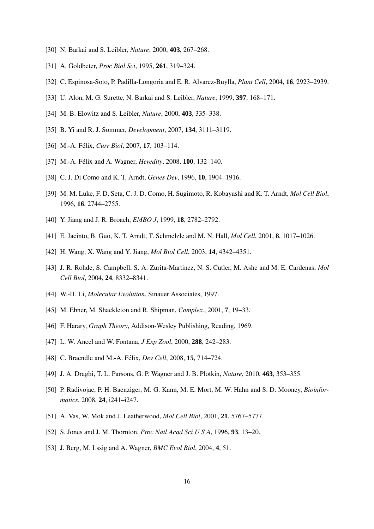- [30] N. Barkai and S. Leibler, *Nature*, 2000, **403**, 267–268.
- [31] A. Goldbeter, *Proc Biol Sci*, 1995, **261**, 319–324.
- [32] C. Espinosa-Soto, P. Padilla-Longoria and E. R. Alvarez-Buylla, *Plant Cell*, 2004, **16**, 2923–2939.
- [33] U. Alon, M. G. Surette, N. Barkai and S. Leibler, *Nature*, 1999, **397**, 168–171.
- [34] M. B. Elowitz and S. Leibler, *Nature*, 2000, **403**, 335–338.
- [35] B. Yi and R. J. Sommer, *Development*, 2007, **134**, 3111–3119.
- [36] M.-A. Félix, *Curr Biol*, 2007, 17, 103-114.
- [37] M.-A. Félix and A. Wagner, *Heredity*, 2008, 100, 132–140.
- [38] C. J. Di Como and K. T. Arndt, *Genes Dev*, 1996, **10**, 1904–1916.
- [39] M. M. Luke, F. D. Seta, C. J. D. Como, H. Sugimoto, R. Kobayashi and K. T. Arndt, *Mol Cell Biol*, 1996, **16**, 2744–2755.
- [40] Y. Jiang and J. R. Broach, *EMBO J*, 1999, **18**, 2782–2792.
- [41] E. Jacinto, B. Guo, K. T. Arndt, T. Schmelzle and M. N. Hall, *Mol Cell*, 2001, **8**, 1017–1026.
- [42] H. Wang, X. Wang and Y. Jiang, *Mol Biol Cell*, 2003, **14**, 4342–4351.
- [43] J. R. Rohde, S. Campbell, S. A. Zurita-Martinez, N. S. Cutler, M. Ashe and M. E. Cardenas, *Mol Cell Biol*, 2004, **24**, 8332–8341.
- [44] W.-H. Li, *Molecular Evolution*, Sinauer Associates, 1997.
- [45] M. Ebner, M. Shackleton and R. Shipman, *Complex.*, 2001, **7**, 19–33.
- [46] F. Harary, *Graph Theory*, Addison-Wesley Publishing, Reading, 1969.
- [47] L. W. Ancel and W. Fontana, *J Exp Zool*, 2000, **288**, 242–283.
- [48] C. Braendle and M.-A. Félix, *Dev Cell*, 2008, **15**, 714–724.
- [49] J. A. Draghi, T. L. Parsons, G. P. Wagner and J. B. Plotkin, *Nature*, 2010, **463**, 353–355.
- [50] P. Radivojac, P. H. Baenziger, M. G. Kann, M. E. Mort, M. W. Hahn and S. D. Mooney, *Bioinformatics*, 2008, **24**, i241–i247.
- [51] A. Vas, W. Mok and J. Leatherwood, *Mol Cell Biol*, 2001, **21**, 5767–5777.
- [52] S. Jones and J. M. Thornton, *Proc Natl Acad Sci U S A*, 1996, **93**, 13–20.
- [53] J. Berg, M. Lssig and A. Wagner, *BMC Evol Biol*, 2004, **4**, 51.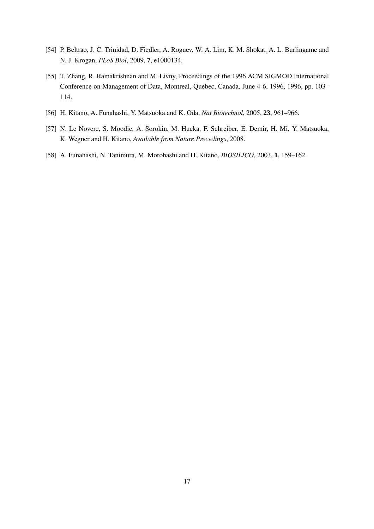- [54] P. Beltrao, J. C. Trinidad, D. Fiedler, A. Roguev, W. A. Lim, K. M. Shokat, A. L. Burlingame and N. J. Krogan, *PLoS Biol*, 2009, **7**, e1000134.
- [55] T. Zhang, R. Ramakrishnan and M. Livny, Proceedings of the 1996 ACM SIGMOD International Conference on Management of Data, Montreal, Quebec, Canada, June 4-6, 1996, 1996, pp. 103– 114.
- [56] H. Kitano, A. Funahashi, Y. Matsuoka and K. Oda, *Nat Biotechnol*, 2005, **23**, 961–966.
- [57] N. Le Novere, S. Moodie, A. Sorokin, M. Hucka, F. Schreiber, E. Demir, H. Mi, Y. Matsuoka, K. Wegner and H. Kitano, *Available from Nature Precedings*, 2008.
- [58] A. Funahashi, N. Tanimura, M. Morohashi and H. Kitano, *BIOSILICO*, 2003, **1**, 159–162.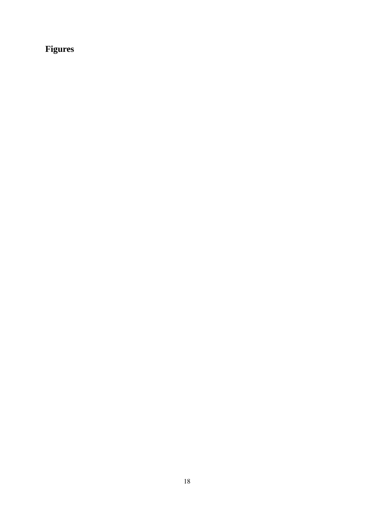# **Figures**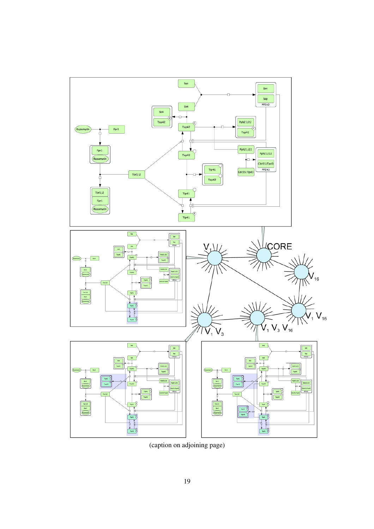

(caption on adjoining page)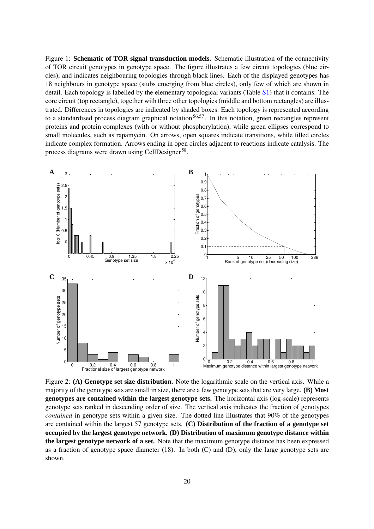Figure 1: **Schematic of TOR signal transduction models.** Schematic illustration of the connectivity of TOR circuit genotypes in genotype space. The figure illustrates a few circuit topologies (blue circles), and indicates neighbouring topologies through black lines. Each of the displayed genotypes has 18 neighbours in genotype space (stubs emerging from blue circles), only few of which are shown in detail. Each topology is labelled by the elementary topological variants (Table S1) that it contains. The core circuit (top rectangle), together with three other topologies (middle and bottom rectangles) are illustrated. Differences in topologies are indicated by shaded boxes. Each topology is represented according to a standardised process diagram graphical notation<sup>56,57</sup>. In this notation, green rectangles represent proteins and protein complexes (with or without phosphorylation), while green ellipses correspond to small molecules, such as rapamycin. On arrows, open squares indicate transitions, while filled circles indicate complex formation. Arrows ending in open circles adjacent to reactions indicate catalysis. The process diagrams were drawn using CellDesigner<sup>58</sup>.



Figure 2: **(A) Genotype set size distribution.** Note the logarithmic scale on the vertical axis. While a majority of the genotype sets are small in size, there are a few genotype sets that are very large. **(B) Most genotypes are contained within the largest genotype sets.** The horizontal axis (log-scale) represents genotype sets ranked in descending order of size. The vertical axis indicates the fraction of genotypes *contained* in genotype sets within a given size. The dotted line illustrates that 90% of the genotypes are contained within the largest 57 genotype sets. **(C) Distribution of the fraction of a genotype set occupied by the largest genotype network. (D) Distribution of maximum genotype distance within the largest genotype network of a set.** Note that the maximum genotype distance has been expressed as a fraction of genotype space diameter  $(18)$ . In both  $(C)$  and  $(D)$ , only the large genotype sets are shown.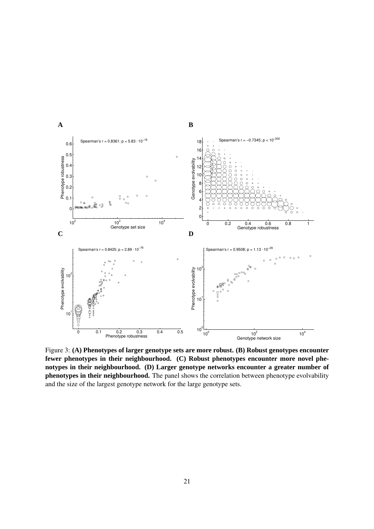

Figure 3: **(A) Phenotypes of larger genotype sets are more robust. (B) Robust genotypes encounter fewer phenotypes in their neighbourhood. (C) Robust phenotypes encounter more novel phenotypes in their neighbourhood. (D) Larger genotype networks encounter a greater number of phenotypes in their neighbourhood.** The panel shows the correlation between phenotype evolvability and the size of the largest genotype network for the large genotype sets.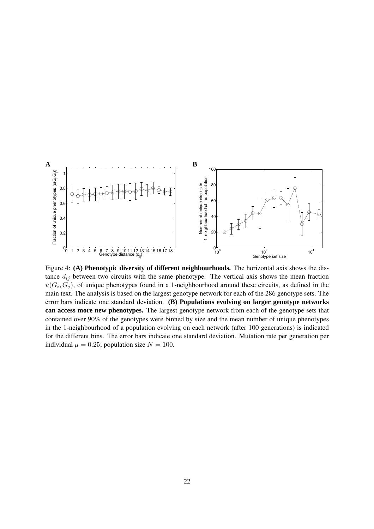

Figure 4: **(A) Phenotypic diversity of different neighbourhoods.** The horizontal axis shows the distance  $d_{ij}$  between two circuits with the same phenotype. The vertical axis shows the mean fraction  $u(G_i, G_j)$ , of unique phenotypes found in a 1-neighbourhood around these circuits, as defined in the main text. The analysis is based on the largest genotype network for each of the 286 genotype sets. The error bars indicate one standard deviation. **(B) Populations evolving on larger genotype networks can access more new phenotypes.** The largest genotype network from each of the genotype sets that contained over 90% of the genotypes were binned by size and the mean number of unique phenotypes in the 1-neighbourhood of a population evolving on each network (after 100 generations) is indicated for the different bins. The error bars indicate one standard deviation. Mutation rate per generation per individual  $\mu = 0.25$ ; population size  $N = 100$ .